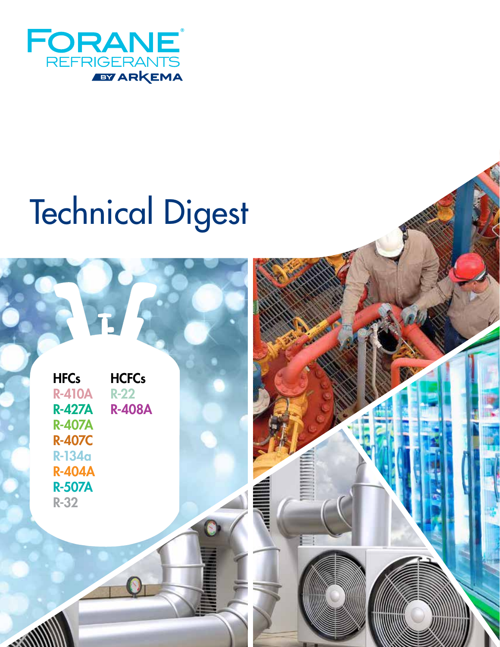

# Technical Digest

| <b>HFCs</b>   | <b>HCFCs</b>  |
|---------------|---------------|
|               |               |
| <b>R-410A</b> | <b>R-22</b>   |
| <b>R-427A</b> | <b>R-408A</b> |
| <b>R-407A</b> |               |
| <b>R-407C</b> |               |
| <b>R-134a</b> |               |
| <b>R-404A</b> |               |
| <b>R-507A</b> |               |
| <b>R-32</b>   |               |

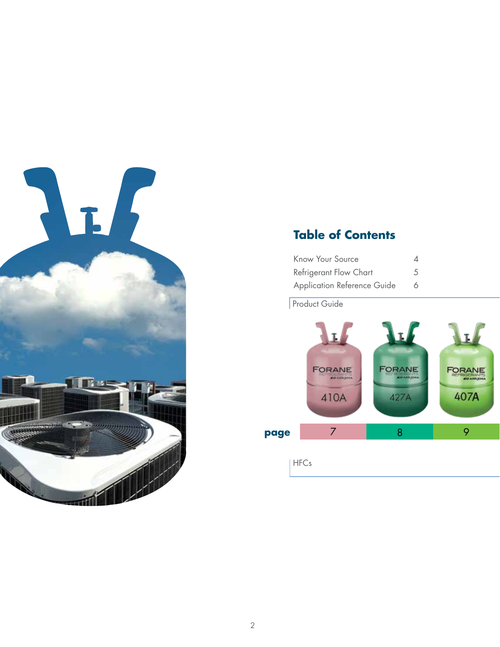

### **Table of Contents**

| Know Your Source                   | 4 |
|------------------------------------|---|
| Refrigerant Flow Chart             | 5 |
| <b>Application Reference Guide</b> | 6 |

Product Guide

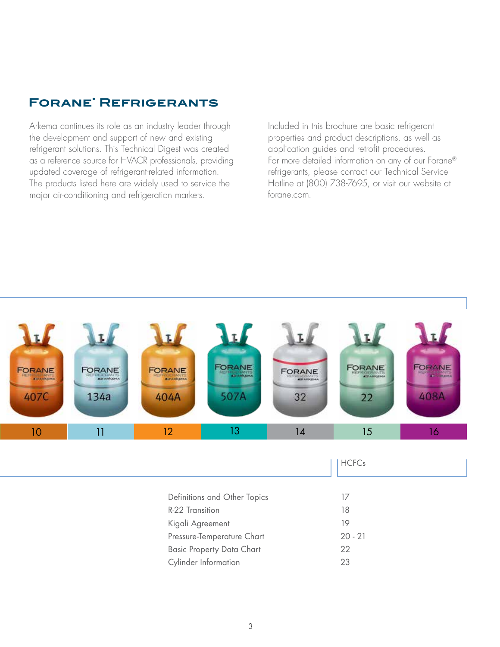### **Forane• Refrigerants**

Arkema continues its role as an industry leader through the development and support of new and existing refrigerant solutions. This Technical Digest was created as a reference source for HVACR professionals, providing updated coverage of refrigerant-related information. The products listed here are widely used to service the major air-conditioning and refrigeration markets.

Included in this brochure are basic refrigerant properties and product descriptions, as well as application guides and retrofit procedures. For more detailed information on any of our Forane® refrigerants, please contact our Technical Service Hotline at (800) 738-7695, or visit our website at forane.com.

| <b>FORANE</b><br><b>KIFAHRONA</b><br>407C                                                         | FORANE<br><b>KITANKIDAA</b><br>134a | <b>FORANE</b><br><b>PROFESSIONANTS</b><br>404A | FORANE<br>507A | <b>FORANE</b><br><b>KITANKEHA</b><br>32 | FORANE<br>22 | <b>FORANE</b><br><b>ANTI CONSUMER</b><br>408A |
|---------------------------------------------------------------------------------------------------|-------------------------------------|------------------------------------------------|----------------|-----------------------------------------|--------------|-----------------------------------------------|
| 10                                                                                                | 11                                  | 12                                             | 13             | 14                                      | 15           | 16                                            |
|                                                                                                   |                                     |                                                |                |                                         | <b>HCFCs</b> |                                               |
| Definitions and Other Topics<br>R-22 Transition<br>Kigali Agreement<br>Pressure-Temperature Chart |                                     |                                                |                | 17<br>18<br>19<br>$20 - 21$             |              |                                               |

Basic Property Data Chart 22 Cylinder Information 23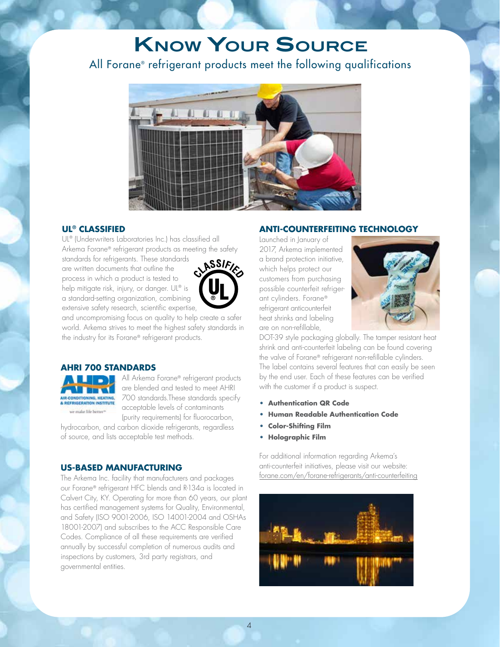### **Know Your Source**

### All Forane® refrigerant products meet the following qualifications



#### **UL® CLASSIFIED**

UL® (Underwriters Laboratories Inc.) has classified all Arkema Forane® refrigerant products as meeting the safety

standards for refrigerants. These standards are written documents that outline the process in which a product is tested to help mitigate risk, injury, or danger. UL® is a standard-setting organization, combining extensive safety research, scientific expertise,



and uncompromising focus on quality to help create a safer world. Arkema strives to meet the highest safety standards in the industry for its Forane® refrigerant products.

### **AHRI 700 STANDARDS**



All Arkema Forane® refrigerant products are blended and tested to meet AHRI 700 standards.These standards specify acceptable levels of contaminants (purity requirements) for fluorocarbon,

hydrocarbon, and carbon dioxide refrigerants, regardless of source, and lists acceptable test methods.

**US-BASED MANUFACTURING**<br>The Arkema Inc. facility that manufacturers and packages<br>our Forane® refrigerant HFC blends and R-134a is located in<br>Calvert City, KY. Operating for more than 60 years, our plant<br>has certified mana The Arkema Inc. facility that manufacturers and packages our Forane® refrigerant HFC blends and R-134a is located in Calvert City, KY. Operating for more than 60 years, our plant has certified management systems for Quality, Environmental, and Safety (ISO 9001-2006, ISO 14001-2004 and OSHAs 18001-2007) and subscribes to the ACC Responsible Care Codes. Compliance of all these requirements are verified annually by successful completion of numerous audits and inspections by customers, 3rd party registrars, and governmental entities.

### **ANTI-COUNTERFEITING TECHNOLOGY**

Launched in January of 2017, Arkema implemented a brand protection initiative, which helps protect our customers from purchasing possible counterfeit refrigerant cylinders. Forane® refrigerant anticounterfeit heat shrinks and labeling are on non-refillable,



DOT-39 style packaging globally. The tamper resistant heat shrink and anti-counterfeit labeling can be found covering the valve of Forane® refrigerant non-refillable cylinders. The label contains several features that can easily be seen by the end user. Each of these features can be verified with the customer if a product is suspect.

- **• Authentication QR Code**
- **• Human Readable Authentication Code**
- **• Color-Shifting Film**
- **• Holographic Film**

For additional information regarding Arkema's anti-counterfeit initiatives, please visit our website: forane.com/en/forane-refrigerants/anti-counterfeiting

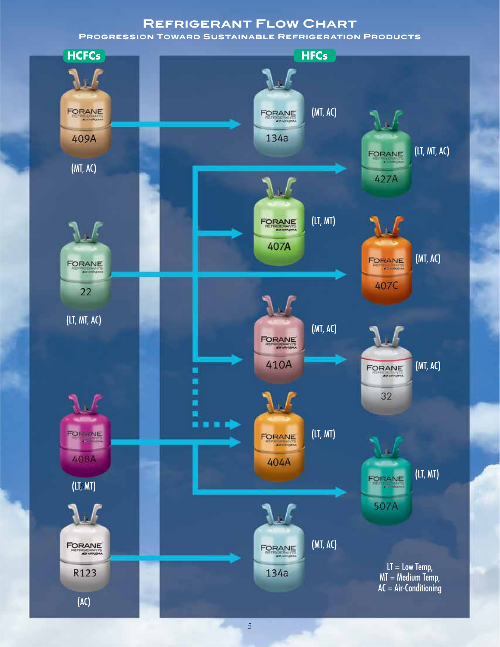### **Refrigerant Flow Chart**

**Progression Toward Sustainable Refrigeration Products**



2000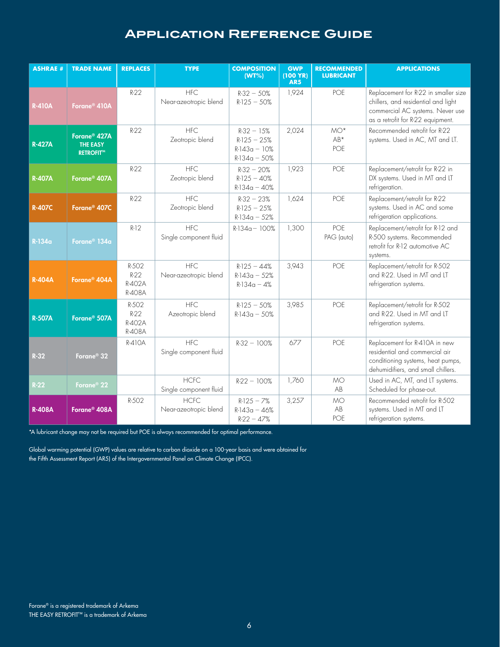|                 |                                                                                                        |                                     | <b>APPLICATION REFERENCE GUIDE</b>                                                                                                                                                                           |                                                                   |                                                |                                        |                                                                                                                                                      |
|-----------------|--------------------------------------------------------------------------------------------------------|-------------------------------------|--------------------------------------------------------------------------------------------------------------------------------------------------------------------------------------------------------------|-------------------------------------------------------------------|------------------------------------------------|----------------------------------------|------------------------------------------------------------------------------------------------------------------------------------------------------|
| <b>ASHRAE #</b> | <b>TRADE NAME</b>                                                                                      | <b>REPLACES</b>                     | <b>TYPE</b>                                                                                                                                                                                                  | <b>COMPOSITION</b><br>(WT%)                                       | <b>GWP</b><br>$(100 \text{ YR})$<br><b>AR5</b> | <b>RECOMMENDED</b><br><b>LUBRICANT</b> | <b>APPLICATIONS</b>                                                                                                                                  |
| <b>R-410A</b>   | Forane <sup>®</sup> 410A                                                                               | $R-22$                              | <b>HFC</b><br>Near-azeotropic blend                                                                                                                                                                          | $R-32 - 50%$<br>$R-125 - 50%$                                     | 1,924                                          | POE                                    | Replacement for R-22 in smaller size<br>chillers, and residential and light<br>commercial AC systems. Never use<br>as a retrofit for R-22 equipment. |
| <b>R-427A</b>   | Forane <sup>®</sup> 427A<br><b>THE EASY</b><br><b>RETROFIT™</b>                                        | $R-22$                              | <b>HFC</b><br>Zeotropic blend                                                                                                                                                                                | $R-32 - 15%$<br>$R-125 - 25%$<br>$R-143a - 10%$<br>$R-134a - 50%$ | 2,024                                          | $MO^*$<br>AB*<br>POE                   | Recommended retrofit for R-22<br>systems. Used in AC, MT and LT.                                                                                     |
| <b>R-407A</b>   | Forane <sup>®</sup> 407A                                                                               | $R-22$                              | <b>HFC</b><br>Zeotropic blend                                                                                                                                                                                | $R-32 - 20%$<br>$R-125 - 40%$<br>$R-134a - 40%$                   | 1,923                                          | POE                                    | Replacement/retrofit for R-22 in<br>DX systems. Used in MT and LT<br>refrigeration.                                                                  |
| <b>R-407C</b>   | Forane <sup>®</sup> 407C                                                                               | $R-22$                              | <b>HFC</b><br>Zeotropic blend                                                                                                                                                                                | $R-32 - 23%$<br>$R-125 - 25%$<br>$R-134a - 52%$                   | 1,624                                          | POE                                    | Replacement/retrofit for R-22<br>systems. Used in AC and some<br>refrigeration applications.                                                         |
| R-134a          | Forane <sup>®</sup> 134a                                                                               | $R-12$                              | <b>HFC</b><br>Single component fluid                                                                                                                                                                         | $R-134a - 100%$                                                   | 1,300                                          | POE<br>PAG (auto)                      | Replacement/retrofit for R-12 and<br>R-500 systems. Recommended<br>retrofit for R-12 automotive AC<br>systems.                                       |
| <b>R-404A</b>   | Forane <sup>®</sup> 404A                                                                               | R-502<br>$R-22$<br>R-402A<br>R-408A | <b>HFC</b><br>Near-azeotropic blend                                                                                                                                                                          | $R-125 - 44%$<br>$R-143a - 52%$<br>$R-134a - 4%$                  | 3,943                                          | POE                                    | Replacement/retrofit for R-502<br>and R-22. Used in MT and LT<br>refrigeration systems.                                                              |
| <b>R-507A</b>   | Forane <sup>®</sup> 507A                                                                               | R-502<br>$R-22$<br>R-402A<br>R-408A | <b>HFC</b><br>Azeotropic blend                                                                                                                                                                               | $R-125 - 50%$<br>$R-143a - 50%$                                   | 3,985                                          | POE                                    | Replacement/retrofit for R-502<br>and R-22. Used in MT and LT<br>refrigeration systems.                                                              |
| $R-32$          | Forane <sup>®</sup> 32                                                                                 | R-410A                              | <b>HFC</b><br>Single component fluid                                                                                                                                                                         | $R-32 - 100%$                                                     | 677                                            | POE                                    | Replacement for R-410A in new<br>residential and commercial air<br>conditioning systems, heat pumps,<br>dehumidifiers, and small chillers.           |
| $R-22$          | Forane <sup>®</sup> 22                                                                                 |                                     | <b>HCFC</b><br>Single component fluid                                                                                                                                                                        | $R-22 - 100%$                                                     | 1,760                                          | <b>MO</b><br>AB                        | Used in AC, MT, and LT systems.<br>Scheduled for phase-out.                                                                                          |
| <b>R-408A</b>   | Forane <sup>®</sup> 408A                                                                               | R-502                               | <b>HCFC</b><br>Near-azeotropic blend                                                                                                                                                                         | $R-125 - 7%$<br>$R-143a - 46%$<br>$R-22 - 47%$                    | 3,257                                          | <b>MO</b><br>AB<br>POE                 | Recommended retrofit for R-502<br>systems. Used in MT and LT<br>refrigeration systems.                                                               |
|                 |                                                                                                        |                                     | *A lubricant change may not be required but POE is always recommended for optimal performance.                                                                                                               |                                                                   |                                                |                                        |                                                                                                                                                      |
|                 |                                                                                                        |                                     | Global warming potential (GWP) values are relative to carbon dioxide on a 100-year basis and were obtained for<br>the Fifth Assessment Report (AR5) of the Intergovernmental Panel on Climate Change (IPCC). |                                                                   |                                                |                                        |                                                                                                                                                      |
|                 |                                                                                                        |                                     |                                                                                                                                                                                                              |                                                                   |                                                |                                        |                                                                                                                                                      |
|                 |                                                                                                        |                                     |                                                                                                                                                                                                              |                                                                   |                                                |                                        |                                                                                                                                                      |
|                 |                                                                                                        |                                     |                                                                                                                                                                                                              |                                                                   |                                                |                                        |                                                                                                                                                      |
|                 |                                                                                                        |                                     |                                                                                                                                                                                                              |                                                                   |                                                |                                        |                                                                                                                                                      |
|                 | Forane® is a registered trademark of Arkema<br>THE EASY RETROFIT <sup>™</sup> is a trademark of Arkema |                                     |                                                                                                                                                                                                              | $\boldsymbol{6}$                                                  |                                                |                                        |                                                                                                                                                      |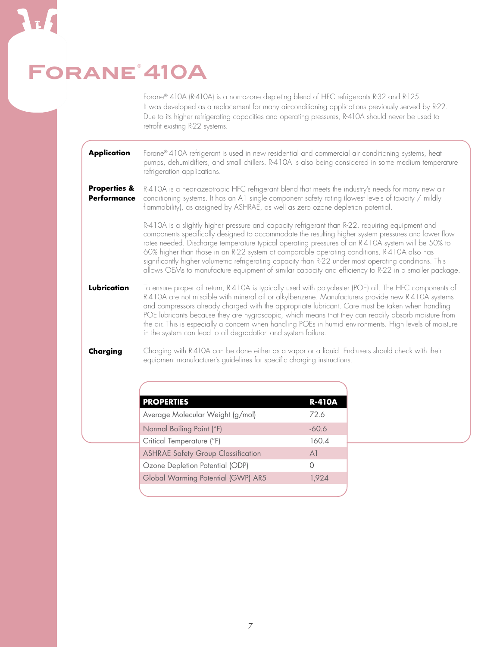## FORANE<sup>®</sup> 410A

Forane® 410A (R-410A) is a non-ozone depleting blend of HFC refrigerants R-32 and R-125. It was developed as a replacement for many air-conditioning applications previously served by R-22. Due to its higher refrigerating capacities and operating pressures, R-410A should never be used to retrofit existing R-22 systems.

Forane® 410A refrigerant is used in new residential and commercial air conditioning systems, heat pumps, dehumidifiers, and small chillers. R-410A is also being considered in some medium temperature refrigeration applications. **Application**

R-410A is a near-azeotropic HFC refrigerant blend that meets the industry's needs for many new air conditioning systems. It has an A1 single component safety rating (lowest levels of toxicity / mildly flammability), as assigned by ASHRAE, as well as zero ozone depletion potential. **Properties & Performance**

> R-410A is a slightly higher pressure and capacity refrigerant than R-22, requiring equipment and components specifically designed to accommodate the resulting higher system pressures and lower flow rates needed. Discharge temperature typical operating pressures of an R-410A system will be 50% to 60% higher than those in an R-22 system at comparable operating conditions. R-410A also has significantly higher volumetric refrigerating capacity than R-22 under most operating conditions. This allows OEMs to manufacture equipment of similar capacity and efficiency to R-22 in a smaller package.

To ensure proper oil return, R-410A is typically used with polyolester (POE) oil. The HFC components of R-410A are not miscible with mineral oil or alkylbenzene. Manufacturers provide new R-410A systems and compressors already charged with the appropriate lubricant. Care must be taken when handling POE lubricants because they are hygroscopic, which means that they can readily absorb moisture from the air. This is especially a concern when handling POEs in humid environments. High levels of moisture in the system can lead to oil degradation and system failure. **Lubrication**

Charging with R-410A can be done either as a vapor or a liquid. End-users should check with their equipment manufacturer's guidelines for specific charging instructions. **Charging**

| <b>PROPERTIES</b>                         | <b>R-410A</b>    |
|-------------------------------------------|------------------|
| Average Molecular Weight (g/mol)          | 72.6             |
| Normal Boiling Point (°F)                 | $-60.6$          |
| Critical Temperature (°F)                 | 160.4            |
| <b>ASHRAE Safety Group Classification</b> | A <sup>1</sup>   |
| Ozone Depletion Potential (ODP)           | $\left( \right)$ |
| Global Warming Potential (GWP) AR5        | 1,924            |
|                                           |                  |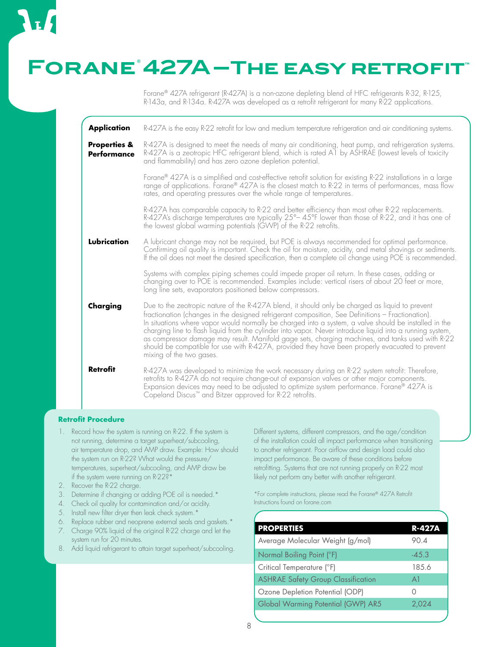### **Forane® 427A–The easy retrofit™**

Forane® 427A refrigerant (R-427A) is a non-ozone depleting blend of HFC refrigerants R-32, R-125, R-143a, and R-134a. R-427A was developed as a retrofit refrigerant for many R-22 applications.

**Lubrication Charging Retrofit** R-427A is the easy R-22 retrofit for low and medium temperature refrigeration and air conditioning systems. R-427A is designed to meet the needs of many air conditioning, heat pump, and refrigeration systems. R-427A is a zeotropic HFC refrigerant blend, which is rated A1 by ASHRAE (lowest levels of toxicity and flammability) and has zero ozone depletion potential. Forane® 427A is a simplified and cost-effective retrofit solution for existing R-22 installations in a large range of applications. Forane® 427A is the closest match to R-22 in terms of performances, mass flow rates, and operating pressures over the whole range of temperatures. R-427A has comparable capacity to R-22 and better efficiency than most other R-22 replacements. R-427A's discharge temperatures are typically 25°– 45°F lower than those of R-22, and it has one of the lowest global warming potentials (GWP) of the R-22 retrofits. A lubricant change may not be required, but POE is always recommended for optimal performance. Confirming oil quality is important. Check the oil for moisture, acidity, and metal shavings or sediments. If the oil does not meet the desired specification, then a complete oil change using POE is recommended. Systems with complex piping schemes could impede proper oil return. In these cases, adding or changing over to POE is recommended. Examples include: vertical risers of about 20 feet or more, long line sets, evaporators positioned below compressors. Due to the zeotropic nature of the R-427A blend, it should only be charged as liquid to prevent fractionation (changes in the designed refrigerant composition, See Definitions – Fractionation). In situations where vapor would normally be charged into a system, a valve should be installed in the charging line to flash liquid from the cylinder into vapor. Never introduce liquid into a running system, as compressor damage may result. Manifold gage sets, charging machines, and tanks used with R-22 should be compatible for use with R-427A, provided they have been properly evacuated to prevent mixing of the two gases. R-427A was developed to minimize the work necessary during an R-22 system retrofit: Therefore, retrofits to R-427A do not require change-out of expansion valves or other major components. Expansion devices may need to be adjusted to optimize system performance. Forane® 427A is Copeland Discus™ and Bitzer approved for R-22 retrofits. **Application Properties & Performance**

#### **Retrofit Procedure**

- 1. Record how the system is running on R-22. If the system is not running, determine a target superheat/subcooling, air temperature drop, and AMP draw. Example: How should the system run on R-22? What would the pressure/ temperatures, superheat/subcooling, and AMP draw be if the system were running on R-22?\*
- 2. Recover the R-22 charge.
- 3. Determine if changing or adding POE oil is needed.\*
- 4. Check oil quality for contamination and/or acidity.
- 5. Install new filter dryer then leak check system.\*
- 6. Replace rubber and neoprene external seals and gaskets.\* 7. Charge 90% liquid of the original R-22 charge and let the
- system run for 20 minutes.
- 8. Add liquid refrigerant to attain target superheat/subcooling.

Different systems, different compressors, and the age/condition of the installation could all impact performance when transitioning to another refrigerant. Poor airflow and design load could also impact performance. Be aware of these conditions before retrofitting. Systems that are not running properly on R-22 most likely not perform any better with another refrigerant.

\*For complete instructions, please read the Forane® 427A Retrofit Instructions found on forane.com

| <b>PROPERTIES</b>                         | R-427A  |
|-------------------------------------------|---------|
| Average Molecular Weight (g/mol)          | 90.4    |
| Normal Boiling Point (°F)                 | $-45.3$ |
| Critical Temperature (°F)                 | 185.6   |
| <b>ASHRAE Safety Group Classification</b> | A1      |
| Ozone Depletion Potential (ODP)           |         |
| Global Warming Potential (GWP) AR5        | 2,024   |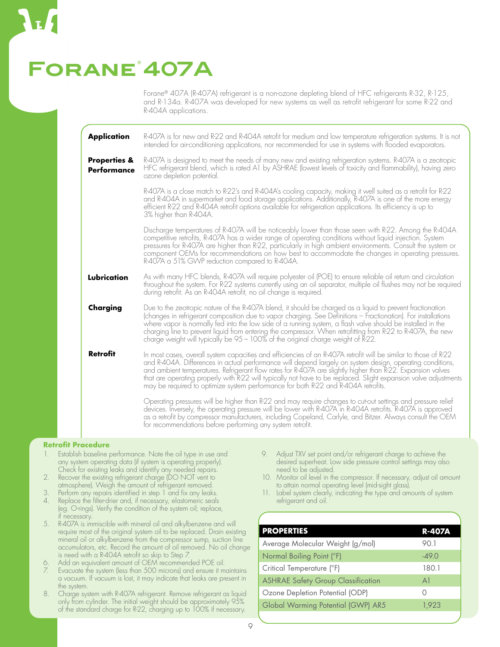### **Forane® 407A**

Forane® 407A (R-407A) refrigerant is a non-ozone depleting blend of HFC refrigerants R-32, R-125, and R-134a. R-407A was developed for new systems as well as retrofit refrigerant for some R-22 and R-404A applications.

| <b>Application</b>                            | R-407A is for new and R-22 and R-404A retrofit for medium and low temperature refrigeration systems. It is not<br>intended for air-conditioning applications, nor recommended for use in systems with flooded evaporators.                                                                                                                                                                                                                                                                                                                            |
|-----------------------------------------------|-------------------------------------------------------------------------------------------------------------------------------------------------------------------------------------------------------------------------------------------------------------------------------------------------------------------------------------------------------------------------------------------------------------------------------------------------------------------------------------------------------------------------------------------------------|
| <b>Properties &amp;</b><br><b>Performance</b> | R-407A is designed to meet the needs of many new and existing refrigeration systems. R-407A is a zeotropic<br>HFC refrigerant blend, which is rated A1 by ASHRAE (lowest levels of toxicity and flammability), having zero<br>ozone depletion potential.                                                                                                                                                                                                                                                                                              |
|                                               | R-407A is a close match to R-22's and R-404A's cooling capacity, making it well suited as a retrofit for R-22<br>and R-404A in supermarket and food storage applications. Additionally, R-407A is one of the more energy<br>efficient R-22 and R-404A retrofit options available for refrigeration applications. Its efficiency is up to<br>3% higher than R-404A.                                                                                                                                                                                    |
|                                               | Discharge temperatures of R-407A will be noticeably lower than those seen with R-22. Among the R-404A<br>competitive retrofits, R-407A has a wider range of operating conditions without liquid injection. System<br>pressures for R-407A are higher than R-22, particularly in high ambient environments. Consult the system or<br>component OEMs for recommendations on how best to accommodate the changes in operating pressures.<br>R-407A a 51% GWP reduction compared to R-404A.                                                               |
| Lubrication                                   | As with many HFC blends, R-407A will require polyester oil (POE) to ensure reliable oil return and circulation<br>throughout the system. For R-22 systems currently using an oil separator, multiple oil flushes may not be required<br>during retrofit. As an R-404A retrofit, no oil change is required.                                                                                                                                                                                                                                            |
| Charging                                      | Due to the zeotropic nature of the R-407A blend, it should be charged as a liquid to prevent fractionation<br>(changes in refrigerant composition due to vapor charging. See Definitions - Fractionation). For installations<br>where vapor is normally fed into the low side of a running system, a flash valve should be installed in the<br>charging line to prevent liquid from entering the compressor. When retrofitting from R-22 to R-407A, the new<br>charge weight will typically be 95 - 100% of the original charge weight of R-22.       |
| <b>Retrofit</b>                               | In most cases, overall system capacities and efficiencies of an R-407A retrofit will be similar to those of R-22<br>and R-404A. Differences in actual performance will depend largely on system design, operating conditions,<br>and ambient temperatures. Refrigerant flow rates for R-407A are slightly higher than R-22. Expansion valves<br>that are operating properly with R22 will typically not have to be replaced. Slight expansion valve adjustments<br>may be required to optimize system performance for both R-22 and R-404A retrofits. |
|                                               | Operating pressures will be higher than R-22 and may require changes to cut-out settings and pressure relief<br>devices. Inversely, the operating pressure will be lower with R-407A in R-404A retrofits. R-407A is approved<br>as a retrofit by compressor manufacturers, including Copeland, Carlyle, and Bitzer. Always consult the OEM<br>for recommendations before performing any system retrofit.                                                                                                                                              |

#### **Retrofit Procedure**

- 1. Establish baseline performance. Note the oil type in use and any system operating data (if system is operating properly). Check for existing leaks and identify any needed repairs.
- 2. Recover the existing refrigerant charge (DO NOT vent to atmosphere). Weigh the amount of refrigerant removed.
- 3. Perform any repairs identified in step 1 and fix any leaks.
- Replace the filter-drier and, if necessary, elastomeric seals (eg. O-rings). Verify the condition of the system oil; replace, if necessary.
- 5. R-407A is immiscible with mineral oil and alkylbenzene and will require most of the original system oil to be replaced. Drain existing mineral oil or alkylbenzene from the compressor sump, suction line accumulators, etc. Record the amount of oil removed. No oil change is need with a R-404A retrofit so skip to Step 7.
- 6. Add an equivalent amount of OEM recommended POE oil.
- Evacuate the system (less than 500 microns) and ensure it maintains a vacuum. If vacuum is lost, it may indicate that leaks are present in the system.
- 8. Charge system with R-407A refrigerant. Remove refrigerant as liquid only from cylinder. The initial weight should be approximately 95% of the standard charge for R-22, charging up to 100% if necessary.
- 9. Adjust TXV set point and/or refrigerant charge to achieve the desired superheat. Low side pressure control settings may also need to be adjusted.
- 10. Monitor oil level in the compressor. If necessary, adjust oil amount to attain normal operating level (mid-sight glass).
- 11. Label system clearly, indicating the type and amounts of system refrigerant and oil.

| <b>PROPERTIES</b>                         | <b>R-407A</b>    |
|-------------------------------------------|------------------|
| Average Molecular Weight (g/mol)          | 90.1             |
| Normal Boiling Point (°F)                 | $-49.0$          |
| Critical Temperature (°F)                 | 180.1            |
| <b>ASHRAE Safety Group Classification</b> | A <sup>1</sup>   |
| Ozone Depletion Potential (ODP)           | $\left( \right)$ |
| Global Warming Potential (GWP) AR5        | 1,923            |
|                                           |                  |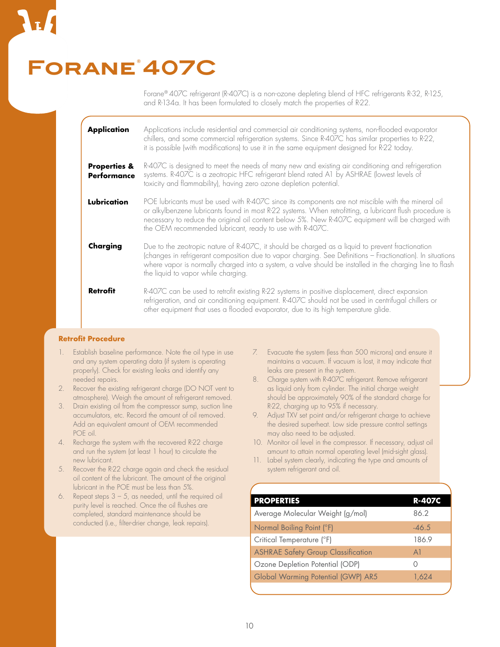## FORANE<sup>'</sup>407C

Forane® 407C refrigerant (R-407C) is a non-ozone depleting blend of HFC refrigerants R-32, R-125, and R-134a. It has been formulated to closely match the properties of R-22.

| <b>Application</b>                            | Applications include residential and commercial air conditioning systems, non-flooded evaporator<br>chillers, and some commercial refrigeration systems. Since R-407C has similar properties to R-22,<br>it is possible (with modifications) to use it in the same equipment designed for R-22 today.                                                                          |
|-----------------------------------------------|--------------------------------------------------------------------------------------------------------------------------------------------------------------------------------------------------------------------------------------------------------------------------------------------------------------------------------------------------------------------------------|
| <b>Properties &amp;</b><br><b>Performance</b> | R-407C is designed to meet the needs of many new and existing air conditioning and refrigeration<br>systems. R-407C is a zeotropic HFC refrigerant blend rated A1 by ASHRAE (lowest levels of<br>toxicity and flammability), having zero ozone depletion potential.                                                                                                            |
| Lubrication                                   | POE lubricants must be used with R-407C since its components are not miscible with the mineral oil<br>or alkylbenzene lubricants found in most R-22 systems. When retrofitting, a lubricant flush procedure is<br>necessary to reduce the original oil content below 5%. New R-407C equipment will be charged with<br>the OEM recommended lubricant, ready to use with R-407C. |
| Charging                                      | Due to the zeotropic nature of R-407C, it should be charged as a liquid to prevent fractionation<br>(changes in refrigerant composition due to vapor charging. See Definitions - Fractionation). In situations<br>where vapor is normally charged into a system, a valve should be installed in the charging line to flash<br>the liquid to vapor while charging.              |
| <b>Retrofit</b>                               | R-407C can be used to retrofit existing R-22 systems in positive displacement, direct expansion<br>refrigeration, and air conditioning equipment. R-407C should not be used in centrifugal chillers or<br>other equipment that uses a flooded evaporator, due to its high temperature glide.                                                                                   |

#### **Retrofit Procedure**

- 1. Establish baseline performance. Note the oil type in use and any system operating data (if system is operating properly). Check for existing leaks and identify any needed repairs.
- 2. Recover the existing refrigerant charge (DO NOT vent to atmosphere). Weigh the amount of refrigerant removed.
- 3. Drain existing oil from the compressor sump, suction line accumulators, etc. Record the amount of oil removed. Add an equivalent amount of OEM recommended POE oil.
- 4. Recharge the system with the recovered R-22 charge and run the system (at least 1 hour) to circulate the new lubricant.
- 5. Recover the R-22 charge again and check the residual oil content of the lubricant. The amount of the original lubricant in the POE must be less than 5%.
- 6. Repeat steps  $3 5$ , as needed, until the required oil purity level is reached. Once the oil flushes are completed, standard maintenance should be conducted (i.e., filter-drier change, leak repairs).
- 7. Evacuate the system (less than 500 microns) and ensure it maintains a vacuum. If vacuum is lost, it may indicate that leaks are present in the system.
- 8. Charge system with R-407C refrigerant. Remove refrigerant as liquid only from cylinder. The initial charge weight should be approximately 90% of the standard charge for R-22, charging up to 95% if necessary.
- 9. Adjust TXV set point and/or refrigerant charge to achieve the desired superheat. Low side pressure control settings may also need to be adjusted.
- 10. Monitor oil level in the compressor. If necessary, adjust oil amount to attain normal operating level (mid-sight glass).
- 11. Label system clearly, indicating the type and amounts of system refrigerant and oil.

| <b>PROPERTIES</b>                         | R-407C         |
|-------------------------------------------|----------------|
| Average Molecular Weight (g/mol)          | 86.2           |
| Normal Boiling Point (°F)                 | $-46.5$        |
| Critical Temperature (°F)                 | 186.9          |
| <b>ASHRAE Safety Group Classification</b> | A <sup>1</sup> |
| Ozone Depletion Potential (ODP)           |                |
| <b>Global Warming Potential (GWP) AR5</b> | 1,624          |
|                                           |                |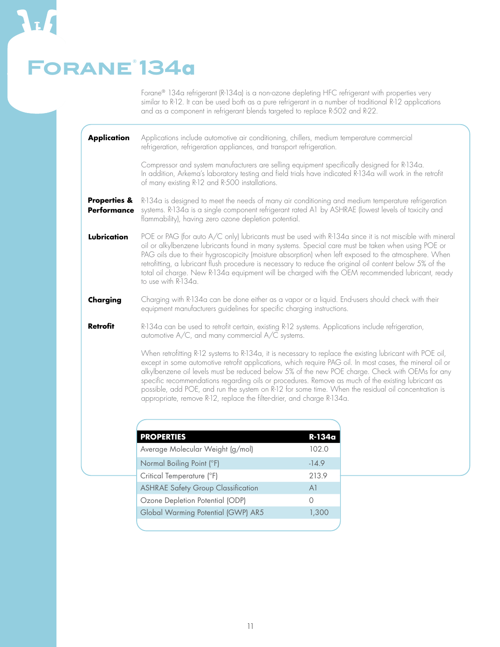### **Forane® 134a**

Forane® 134a refrigerant (R-134a) is a non-ozone depleting HFC refrigerant with properties very similar to R-12. It can be used both as a pure refrigerant in a number of traditional R-12 applications and as a component in refrigerant blends targeted to replace R-502 and R-22.

**Application** Applications include automotive air conditioning, chillers, medium temperature commercial refrigeration, refrigeration appliances, and transport refrigeration.

> Compressor and system manufacturers are selling equipment specifically designed for R-134a. In addition, Arkema's laboratory testing and field trials have indicated R-134a will work in the retrofit of many existing R-12 and R-500 installations.

**Properties & Performance** R-134a is designed to meet the needs of many air conditioning and medium temperature refrigeration systems. R-134a is a single component refrigerant rated A1 by ASHRAE (lowest levels of toxicity and flammability), having zero ozone depletion potential.

**Lubrication** POE or PAG (for auto A/C only) lubricants must be used with R-134a since it is not miscible with mineral oil or alkylbenzene lubricants found in many systems. Special care must be taken when using POE or PAG oils due to their hygroscopicity (moisture absorption) when left exposed to the atmosphere. When retrofitting, a lubricant flush procedure is necessary to reduce the original oil content below 5% of the total oil charge. New R-134a equipment will be charged with the OEM recommended lubricant, ready to use with R-134a.

**Charging** Charging with R-134a can be done either as a vapor or a liquid. End-users should check with their equipment manufacturers guidelines for specific charging instructions.

**Retrofit** R-134a can be used to retrofit certain, existing R-12 systems. Applications include refrigeration, automotive A/C, and many commercial A/C systems.

> When retrofitting R-12 systems to R-134a, it is necessary to replace the existing lubricant with POE oil, except in some automotive retrofit applications, which require PAG oil. In most cases, the mineral oil or alkylbenzene oil levels must be reduced below 5% of the new POE charge. Check with OEMs for any specific recommendations regarding oils or procedures. Remove as much of the existing lubricant as possible, add POE, and run the system on R-12 for some time. When the residual oil concentration is appropriate, remove R-12, replace the filter-drier, and charge R-134a.

| <b>PROPERTIES</b>                         | R-134a  |
|-------------------------------------------|---------|
| Average Molecular Weight (g/mol)          | 102.0   |
| Normal Boiling Point (°F)                 | $-14.9$ |
| Critical Temperature (°F)                 | 213.9   |
| <b>ASHRAE Safety Group Classification</b> | A1      |
| Ozone Depletion Potential (ODP)           |         |
| Global Warming Potential (GWP) AR5        | 1,300   |
|                                           |         |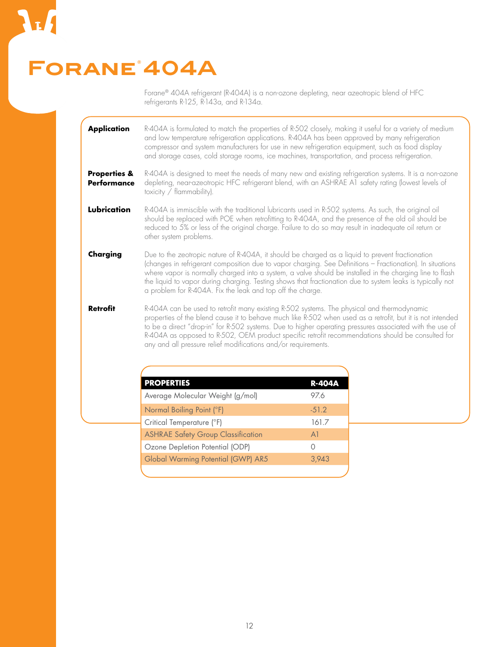### **Forane® 404A**

Forane® 404A refrigerant (R-404A) is a non-ozone depleting, near azeotropic blend of HFC refrigerants R-125, R-143a, and R-134a.

R-404A is formulated to match the properties of R-502 closely, making it useful for a variety of medium and low temperature refrigeration applications. R-404A has been approved by many refrigeration compressor and system manufacturers for use in new refrigeration equipment, such as food display and storage cases, cold storage rooms, ice machines, transportation, and process refrigeration. **Application**

R-404A is designed to meet the needs of many new and existing refrigeration systems. It is a non-ozone depleting, near-azeotropic HFC refrigerant blend, with an ASHRAE A1 safety rating (lowest levels of toxicity / flammability). **Properties & Performance**

R-404A is immiscible with the traditional lubricants used in R-502 systems. As such, the original oil should be replaced with POE when retrofitting to R-404A, and the presence of the old oil should be reduced to 5% or less of the original charge. Failure to do so may result in inadequate oil return or other system problems. **Lubrication**

Due to the zeotropic nature of R-404A, it should be charged as a liquid to prevent fractionation (changes in refrigerant composition due to vapor charging. See Definitions – Fractionation). In situations where vapor is normally charged into a system, a valve should be installed in the charging line to flash the liquid to vapor during charging. Testing shows that fractionation due to system leaks is typically not a problem for R-404A. Fix the leak and top off the charge. **Charging**

R-404A can be used to retrofit many existing R-502 systems. The physical and thermodynamic properties of the blend cause it to behave much like R-502 when used as a retrofit, but it is not intended to be a direct "drop-in" for R-502 systems. Due to higher operating pressures associated with the use of R-404A as opposed to R-502, OEM product specific retrofit recommendations should be consulted for any and all pressure relief modifications and/or requirements. **Retrofit**

| <b>PROPERTIES</b>                         | <b>R-404A</b>    |
|-------------------------------------------|------------------|
| Average Molecular Weight (g/mol)          | 97.6             |
| Normal Boiling Point (°F)                 | $-51.2$          |
| Critical Temperature (°F)                 | 161.7            |
| <b>ASHRAE Safety Group Classification</b> | A <sup>1</sup>   |
| Ozone Depletion Potential (ODP)           | $\left( \right)$ |
| Global Warming Potential (GWP) AR5        | 3,943            |
|                                           |                  |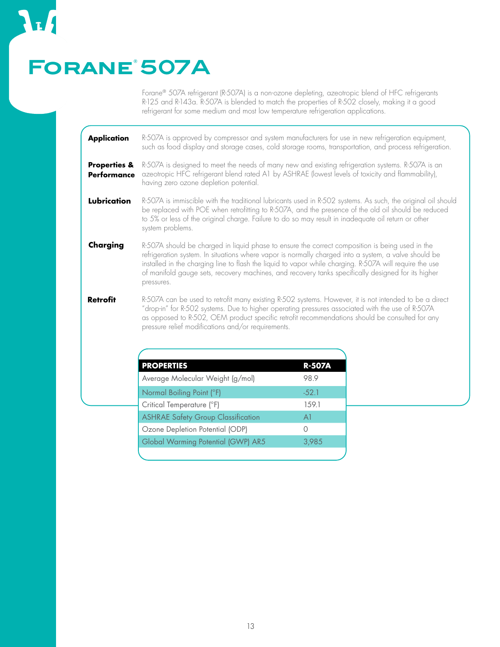## **Forane® 507A**

L.

Forane® 507A refrigerant (R-507A) is a non-ozone depleting, azeotropic blend of HFC refrigerants R-125 and R-143a. R-507A is blended to match the properties of R-502 closely, making it a good refrigerant for some medium and most low temperature refrigeration applications.

| <b>Application</b>                            | R-507A is approved by compressor and system manufacturers for use in new refrigeration equipment,<br>such as food display and storage cases, cold storage rooms, transportation, and process refrigeration.                                                                                                                                                                                                                            |
|-----------------------------------------------|----------------------------------------------------------------------------------------------------------------------------------------------------------------------------------------------------------------------------------------------------------------------------------------------------------------------------------------------------------------------------------------------------------------------------------------|
| <b>Properties &amp;</b><br><b>Performance</b> | R-507A is designed to meet the needs of many new and existing refrigeration systems. R-507A is an<br>azeotropic HFC refrigerant blend rated A1 by ASHRAE (lowest levels of toxicity and flammability),<br>having zero ozone depletion potential.                                                                                                                                                                                       |
| Lubrication                                   | R-507A is immiscible with the traditional lubricants used in R-502 systems. As such, the original oil should<br>be replaced with POE when retrofitting to R-507A, and the presence of the old oil should be reduced<br>to 5% or less of the original charge. Failure to do so may result in inadequate oil return or other<br>system problems.                                                                                         |
| Charging                                      | R-507A should be charged in liquid phase to ensure the correct composition is being used in the<br>refrigeration system. In situations where vapor is normally charged into a system, a valve should be<br>installed in the charging line to flash the liquid to vapor while charging. R-507A will require the use<br>of manifold gauge sets, recovery machines, and recovery tanks specifically designed for its higher<br>pressures. |
| <b>Retrofit</b>                               | R-507A can be used to retrofit many existing R-502 systems. However, it is not intended to be a direct<br>"drop-in" for R-502 systems. Due to higher operating pressures associated with the use of R-507A<br>as opposed to R-502, OEM product specific retrofit recommendations should be consulted for any<br>pressure relief modifications and/or requirements.                                                                     |

| <b>PROPERTIES</b>                         | <b>R-507A</b> |
|-------------------------------------------|---------------|
| Average Molecular Weight (g/mol)          | 98.9          |
| Normal Boiling Point (°F)                 | $-52.1$       |
| Critical Temperature (°F)                 | 159.1         |
| <b>ASHRAE Safety Group Classification</b> | A1            |
| Ozone Depletion Potential (ODP)           | Ω             |
| Global Warming Potential (GWP) AR5        | 3,985         |
|                                           |               |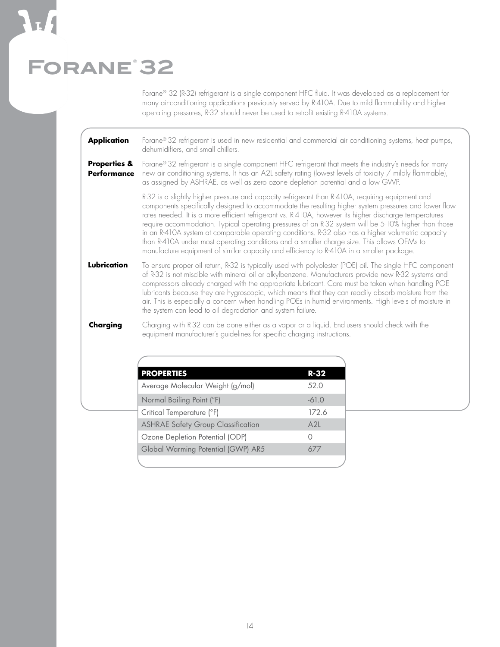## **Forane® 32**

Forane® 32 (R-32) refrigerant is a single component HFC fluid. It was developed as a replacement for many air-conditioning applications previously served by R-410A. Due to mild flammability and higher operating pressures, R-32 should never be used to retrofit existing R-410A systems.

| Application Forane® 32 refrigerant is used in new residential and commercial air conditioning systems, heat pumps, |  |
|--------------------------------------------------------------------------------------------------------------------|--|
| dehumidifiers, and small chillers.                                                                                 |  |

Forane® 32 refrigerant is a single component HFC refrigerant that meets the industry's needs for many new air conditioning systems. It has an A2L safety rating (lowest levels of toxicity / mildly flammable), as assigned by ASHRAE, as well as zero ozone depletion potential and a low GWP. **Properties & Performance**

> R-32 is a slightly higher pressure and capacity refrigerant than R-410A, requiring equipment and components specifically designed to accommodate the resulting higher system pressures and lower flow rates needed. It is a more efficient refrigerant vs. R-410A, however its higher discharge temperatures require accommodation. Typical operating pressures of an R-32 system will be 5-10% higher than those in an R-410A system at comparable operating conditions. R-32 also has a higher volumetric capacity than R-410A under most operating conditions and a smaller charge size. This allows OEMs to manufacture equipment of similar capacity and efficiency to R-410A in a smaller package.

To ensure proper oil return, R-32 is typically used with polyolester (POE) oil. The single HFC component of R-32 is not miscible with mineral oil or alkylbenzene. Manufacturers provide new R-32 systems and compressors already charged with the appropriate lubricant. Care must be taken when handling POE lubricants because they are hygroscopic, which means that they can readily absorb moisture from the air. This is especially a concern when handling POEs in humid environments. High levels of moisture in the system can lead to oil degradation and system failure. **Lubrication**

Charging with R-32 can be done either as a vapor or a liquid. End-users should check with the equipment manufacturer's guidelines for specific charging instructions. **Charging**

| <b>PROPERTIES</b>                         | RE32             |
|-------------------------------------------|------------------|
| Average Molecular Weight (g/mol)          | 52.0             |
| Normal Boiling Point (°F)                 | $-61.0$          |
| Critical Temperature (°F)                 | 172.6            |
| <b>ASHRAE Safety Group Classification</b> | A2L              |
| Ozone Depletion Potential (ODP)           | $\left( \right)$ |
| Global Warming Potential (GWP) AR5        | 677              |
|                                           |                  |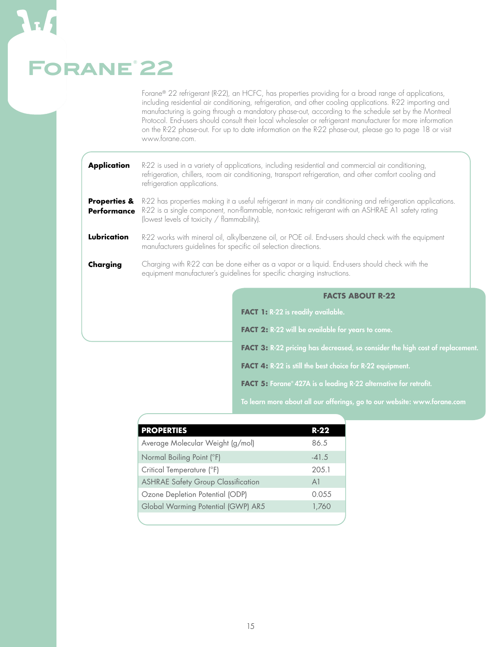## **Forane® 22**

Forane® 22 refrigerant (R-22), an HCFC, has properties providing for a broad range of applications, including residential air conditioning, refrigeration, and other cooling applications. R-22 importing and manufacturing is going through a mandatory phase-out, according to the schedule set by the Montreal Protocol. End-users should consult their local wholesaler or refrigerant manufacturer for more information on the R-22 phase-out. For up to date information on the R-22 phase-out, please go to page 18 or visit www.forane.com.

| <b>Application</b>                            | refrigeration applications.                                                                                                                                                                                                                                    | R-22 is used in a variety of applications, including residential and commercial air conditioning,<br>refrigeration, chillers, room air conditioning, transport refrigeration, and other comfort cooling and |  |  |  |  |  |  |  |  |  |  |
|-----------------------------------------------|----------------------------------------------------------------------------------------------------------------------------------------------------------------------------------------------------------------------------------------------------------------|-------------------------------------------------------------------------------------------------------------------------------------------------------------------------------------------------------------|--|--|--|--|--|--|--|--|--|--|
| <b>Properties &amp;</b><br><b>Performance</b> | R-22 has properties making it a useful refrigerant in many air conditioning and refrigeration applications.<br>R-22 is a single component, non-flammable, non-toxic refrigerant with an ASHRAE A1 safety rating<br>(lowest levels of toxicity / flammability). |                                                                                                                                                                                                             |  |  |  |  |  |  |  |  |  |  |
| Lubrication                                   | R-22 works with mineral oil, alkylbenzene oil, or POE oil. End-users should check with the equipment<br>manufacturers guidelines for specific oil selection directions.                                                                                        |                                                                                                                                                                                                             |  |  |  |  |  |  |  |  |  |  |
| Charging                                      | Charging with R-22 can be done either as a vapor or a liquid. End-users should check with the<br>equipment manufacturer's guidelines for specific charging instructions.                                                                                       |                                                                                                                                                                                                             |  |  |  |  |  |  |  |  |  |  |
|                                               |                                                                                                                                                                                                                                                                | <b>FACTS ABOUT R-22</b>                                                                                                                                                                                     |  |  |  |  |  |  |  |  |  |  |
|                                               |                                                                                                                                                                                                                                                                | FACT 1: R-22 is readily available.                                                                                                                                                                          |  |  |  |  |  |  |  |  |  |  |
|                                               |                                                                                                                                                                                                                                                                | FACT 2: R-22 will be available for years to come.                                                                                                                                                           |  |  |  |  |  |  |  |  |  |  |
|                                               |                                                                                                                                                                                                                                                                | FACT 3: R-22 pricing has decreased, so consider the high cost of replacement.                                                                                                                               |  |  |  |  |  |  |  |  |  |  |
|                                               | FACT 4: R-22 is still the best choice for R-22 equipment.                                                                                                                                                                                                      |                                                                                                                                                                                                             |  |  |  |  |  |  |  |  |  |  |

**FACT 5:** Forane® 427A is a leading R-22 alternative for retrofit.

To learn more about all our offerings, go to our website: www.forane.com

| <b>PROPERTIES</b>                         | R-22    |
|-------------------------------------------|---------|
| Average Molecular Weight (g/mol)          | 86.5    |
| Normal Boiling Point (°F)                 | $-41.5$ |
| Critical Temperature (°F)                 | 205.1   |
| <b>ASHRAE Safety Group Classification</b> | A1      |
| Ozone Depletion Potential (ODP)           | 0.055   |
| Global Warming Potential (GWP) AR5        | 1,760   |
|                                           |         |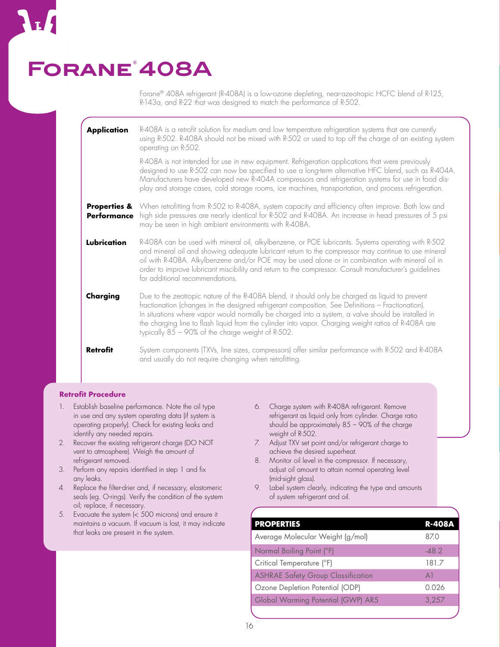### **Forane® 408A**

Forane® 408A refrigerant (R-408A) is a low-ozone depleting, near-azeotropic HCFC blend of R-125, R-143a, and R-22 that was designed to match the performance of R-502.

| <b>Application</b>                            | R-408A is a retrofit solution for medium and low temperature refrigeration systems that are currently<br>using R-502. R-408A should not be mixed with R-502 or used to top off the charge of an existing system<br>operating on R-502.                                                                                                                                                                                                                                 |
|-----------------------------------------------|------------------------------------------------------------------------------------------------------------------------------------------------------------------------------------------------------------------------------------------------------------------------------------------------------------------------------------------------------------------------------------------------------------------------------------------------------------------------|
|                                               | R-408A is not intended for use in new equipment. Refrigeration applications that were previously<br>designed to use R-502 can now be specified to use a long-term alternative HFC blend, such as R-404A.<br>Manufacturers have developed new R-404A compressors and refrigeration systems for use in food dis-<br>play and storage cases, cold storage rooms, ice machines, transportation, and process refrigeration.                                                 |
| <b>Properties &amp;</b><br><b>Performance</b> | When retrofitting from R-502 to R-408A, system capacity and efficiency often improve. Both low and<br>high side pressures are nearly identical for R-502 and R-408A. An increase in head pressures of 5 psi<br>may be seen in high ambient environments with R-408A.                                                                                                                                                                                                   |
| Lubrication                                   | R-408A can be used with mineral oil, alkylbenzene, or POE lubricants. Systems operating with R-502<br>and mineral oil and showing adequate lubricant return to the compressor may continue to use mineral<br>oil with R-408A. Alkylbenzene and/or POE may be used alone or in combination with mineral oil in<br>order to improve lubricant miscibility and return to the compressor. Consult manufacturer's guidelines<br>for additional recommendations.             |
| Charging                                      | Due to the zeotropic nature of the R-408A blend, it should only be charged as liquid to prevent<br>fractionation (changes in the designed refrigerant composition. See Definitions - Fractionation).<br>In situations where vapor would normally be charged into a system, a valve should be installed in<br>the charging line to flash liquid from the cylinder into vapor. Charging weight ratios of R-408A are<br>typically 85 - 90% of the charge weight of R-502. |
| <b>Retrofit</b>                               | System components (TXVs, line sizes, compressors) offer similar performance with R-502 and R-408A<br>and usually do not require changing when retrofitting.                                                                                                                                                                                                                                                                                                            |

#### **Retrofit Procedure**

- 1. Establish baseline performance. Note the oil type in use and any system operating data (if system is operating properly). Check for existing leaks and identify any needed repairs.
- 2. Recover the existing refrigerant charge (DO NOT vent to atmosphere). Weigh the amount of refrigerant removed.
- 3. Perform any repairs identified in step 1 and fix any leaks.
- 4. Replace the filter-drier and, if necessary, elastomeric seals (eg. O-rings). Verify the condition of the system oil; replace, if necessary.
- 5. Evacuate the system (< 500 microns) and ensure it maintains a vacuum. If vacuum is lost, it may indicate that leaks are present in the system.
- 6. Charge system with R-408A refrigerant. Remove refrigerant as liquid only from cylinder. Charge ratio should be approximately 85 – 90% of the charge weight of R-502.
- 7. Adjust TXV set point and/or refrigerant charge to achieve the desired superheat.
- 8. Monitor oil level in the compressor. If necessary, adjust oil amount to attain normal operating level (mid-sight glass).
- 9. Label system clearly, indicating the type and amounts of system refrigerant and oil.

| <b>PROPERTIES</b>                         | <b>R-408A</b> |
|-------------------------------------------|---------------|
| Average Molecular Weight (g/mol)          | 87.0          |
| Normal Boiling Point (°F)                 | $-48.2$       |
| Critical Temperature (°F)                 | 181.7         |
| <b>ASHRAE Safety Group Classification</b> | A1            |
| Ozone Depletion Potential (ODP)           | 0.026         |
| Global Warming Potential (GWP) AR5        | 3,257         |
|                                           |               |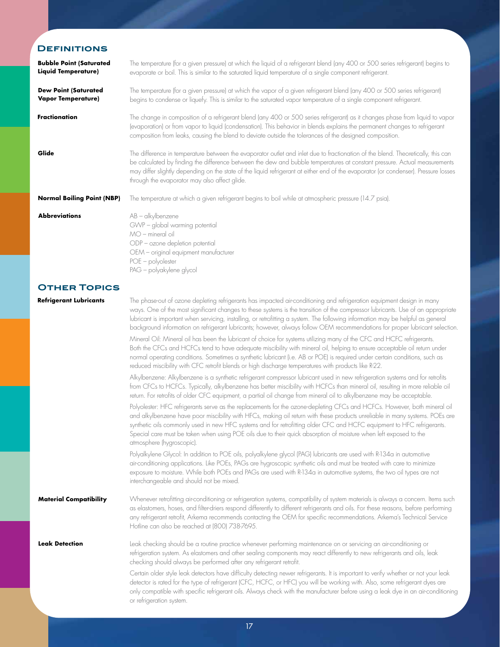### **Definitions**

| <b>Bubble Point (Saturated</b><br><b>Liquid Temperature)</b> | The temperature (for a given pressure) at which the liquid of a refrigerant blend (any 400 or 500 series refrigerant) begins to<br>evaporate or boil. This is similar to the saturated liquid temperature of a single component refrigerant.                                                                                                                                                                                                                                                                                                                                                                                                                                                                                                                                                                                                                                                                                                                                                                                 |
|--------------------------------------------------------------|------------------------------------------------------------------------------------------------------------------------------------------------------------------------------------------------------------------------------------------------------------------------------------------------------------------------------------------------------------------------------------------------------------------------------------------------------------------------------------------------------------------------------------------------------------------------------------------------------------------------------------------------------------------------------------------------------------------------------------------------------------------------------------------------------------------------------------------------------------------------------------------------------------------------------------------------------------------------------------------------------------------------------|
| <b>Dew Point (Saturated</b><br><b>Vapor Temperature)</b>     | The temperature (for a given pressure) at which the vapor of a given refrigerant blend (any 400 or 500 series refrigerant)<br>begins to condense or liquefy. This is similar to the saturated vapor temperature of a single component refrigerant.                                                                                                                                                                                                                                                                                                                                                                                                                                                                                                                                                                                                                                                                                                                                                                           |
| Fractionation                                                | The change in composition of a refrigerant blend (any 400 or 500 series refrigerant) as it changes phase from liquid to vapor<br>(evaporation) or from vapor to liquid (condensation). This behavior in blends explains the permanent changes to refrigerant<br>composition from leaks, causing the blend to deviate outside the tolerances of the designed composition.                                                                                                                                                                                                                                                                                                                                                                                                                                                                                                                                                                                                                                                     |
| Glide                                                        | The difference in temperature between the evaporator outlet and inlet due to fractionation of the blend. Theoretically, this can<br>be calculated by finding the difference between the dew and bubble temperatures at constant pressure. Actual measurements<br>may differ slightly depending on the state of the liquid refrigerant at either end of the evaporator (or condenser). Pressure losses<br>through the evaporator may also affect glide.                                                                                                                                                                                                                                                                                                                                                                                                                                                                                                                                                                       |
| <b>Normal Boiling Point (NBP)</b>                            | The temperature at which a given refrigerant begins to boil while at atmospheric pressure (14.7 psia).                                                                                                                                                                                                                                                                                                                                                                                                                                                                                                                                                                                                                                                                                                                                                                                                                                                                                                                       |
| <b>Abbreviations</b>                                         | AB - alkylbenzene<br>GWP - global warming potential<br>MO - mineral oil<br>ODP - ozone depletion potential<br>OEM - original equipment manufacturer<br>POE - polyolester<br>PAG - polyakylene glycol                                                                                                                                                                                                                                                                                                                                                                                                                                                                                                                                                                                                                                                                                                                                                                                                                         |
| <b>OTHER TOPICS</b>                                          |                                                                                                                                                                                                                                                                                                                                                                                                                                                                                                                                                                                                                                                                                                                                                                                                                                                                                                                                                                                                                              |
| <b>Refrigerant Lubricants</b>                                | The phase-out of ozone depleting refrigerants has impacted air-conditioning and refrigeration equipment design in many<br>ways. One of the most significant changes to these systems is the transition of the compressor lubricants. Use of an appropriate<br>lubricant is important when servicing, installing, or retrofitting a system. The following information may be helpful as general<br>background information on refrigerant lubricants; however, always follow OEM recommendations for proper lubricant selection.<br>Mineral Oil: Mineral oil has been the lubricant of choice for systems utilizing many of the CFC and HCFC refrigerants.<br>Both the CFCs and HCFCs tend to have adequate miscibility with mineral oil, helping to ensure acceptable oil return under<br>normal operating conditions. Sometimes a synthetic lubricant (i.e. AB or POE) is required under certain conditions, such as<br>reduced miscibility with CFC retrofit blends or high discharge temperatures with products like R-22. |
|                                                              | Alkylbenzene: Alkylbenzene is a synthetic refrigerant compressor lubricant used in new refrigeration systems and for retrofits<br>from CFCs to HCFCs. Typically, alkylbenzene has better miscibility with HCFCs than mineral oil, resulting in more reliable oil<br>return. For retrofits of older CFC equipment, a partial oil change from mineral oil to alkylbenzene may be acceptable.                                                                                                                                                                                                                                                                                                                                                                                                                                                                                                                                                                                                                                   |
|                                                              | Polyolester: HFC refrigerants serve as the replacements for the ozone-depleting CFCs and HCFCs. However, both mineral oil<br>and alkylbenzene have poor miscibility with HFCs, making oil return with these products unreliable in many systems. POEs are<br>synthetic oils commonly used in new HFC systems and for retrofitting older CFC and HCFC equipment to HFC refrigerants.<br>Special care must be taken when using POE oils due to their quick absorption of moisture when left exposed to the<br>atmosphere (hygroscopic).                                                                                                                                                                                                                                                                                                                                                                                                                                                                                        |
|                                                              | Polyalkylene Glycol: In addition to POE oils, polyalkylene glycol (PAG) lubricants are used with R-134a in automotive<br>air-conditioning applications. Like POEs, PAGs are hygroscopic synthetic oils and must be treated with care to minimize<br>exposure to moisture. While both POEs and PAGs are used with R-134a in automotive systems, the two oil types are not<br>interchangeable and should not be mixed.                                                                                                                                                                                                                                                                                                                                                                                                                                                                                                                                                                                                         |
| <b>Material Compatibility</b>                                | Whenever retrofitting air-conditioning or refrigeration systems, compatibility of system materials is always a concern. Items such<br>as elastomers, hoses, and filter-driers respond differently to different refrigerants and oils. For these reasons, before performing<br>any refrigerant retrofit, Arkema recommends contacting the OEM for specific recommendations. Arkema's Technical Service<br>Hotline can also be reached at (800) 738-7695.                                                                                                                                                                                                                                                                                                                                                                                                                                                                                                                                                                      |
| <b>Leak Detection</b>                                        | Leak checking should be a routine practice whenever performing maintenance on or servicing an air-conditioning or<br>refrigeration system. As elastomers and other sealing components may react differently to new refrigerants and oils, leak<br>checking should always be performed after any refrigerant retrofit.                                                                                                                                                                                                                                                                                                                                                                                                                                                                                                                                                                                                                                                                                                        |
|                                                              | لممتنع منمام بالاستئلال وبالمط وممتمونهما والمسارمات بالمنام وتمتع                                                                                                                                                                                                                                                                                                                                                                                                                                                                                                                                                                                                                                                                                                                                                                                                                                                                                                                                                           |

Certain older style leak detectors have difficulty detecting newer refrigerants. It is important to verify whether or not your leak detector is rated for the type of refrigerant (CFC, HCFC, or HFC) you will be working with. Also, some refrigerant dyes are only compatible with specific refrigerant oils. Always check with the manufacturer before using a leak dye in an air-conditioning or refrigeration system.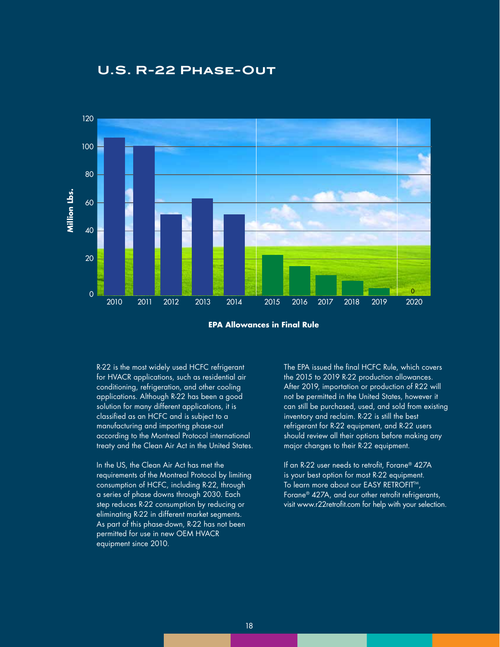



**EPA Allowances in Final Rule**

R-22 is the most widely used HCFC refrigerant for HVACR applications, such as residential air conditioning, refrigeration, and other cooling applications. Although R-22 has been a good solution for many different applications, it is classified as an HCFC and is subject to a manufacturing and importing phase-out according to the Montreal Protocol international treaty and the Clean Air Act in the United States.

In the US, the Clean Air Act has met the requirements of the Montreal Protocol by limiting consumption of HCFC, including R-22, through a series of phase downs through 2030. Each step reduces R-22 consumption by reducing or eliminating R-22 in different market segments. As part of this phase-down, R-22 has not been permitted for use in new OEM HVACR equipment since 2010.

The EPA issued the final HCFC Rule, which covers the 2015 to 2019 R-22 production allowances. After 2019, importation or production of R22 will not be permitted in the United States, however it can still be purchased, used, and sold from existing inventory and reclaim. R-22 is still the best refrigerant for R-22 equipment, and R-22 users should review all their options before making any major changes to their R-22 equipment.

If an R-22 user needs to retrofit, Forane® 427A is your best option for most R-22 equipment. To learn more about our EASY RETROFIT™, Forane® 427A, and our other retrofit refrigerants, visit www.r22retrofit.com for help with your selection.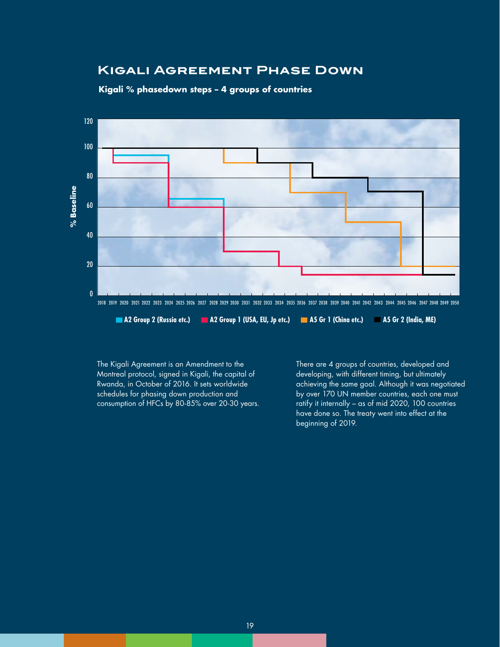### **Kigali Agreement Phase Down**

#### **Kigali % phasedown steps – 4 groups of countries**



The Kigali Agreement is an Amendment to the Montreal protocol, signed in Kigali, the capital of Rwanda, in October of 2016. It sets worldwide schedules for phasing down production and consumption of HFCs by 80-85% over 20-30 years. There are 4 groups of countries, developed and developing, with different timing, but ultimately achieving the same goal. Although it was negotiated by over 170 UN member countries, each one must ratify it internally – as of mid 2020, 100 countries have done so. The treaty went into effect at the beginning of 2019.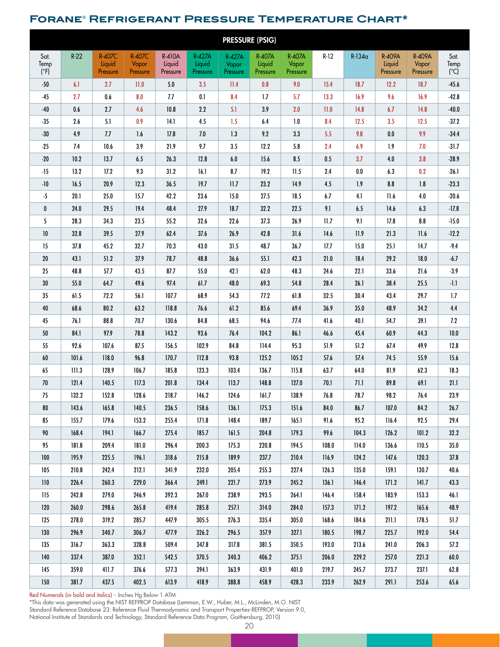### **Forane**® **Refrigerant Pressure Temperature Chart\***

| <b>PRESSURE (PSIG)</b>        |         |                                     |                             |                                     |                                     |                                    |                              |                             |        |          |                              |                             |                              |
|-------------------------------|---------|-------------------------------------|-----------------------------|-------------------------------------|-------------------------------------|------------------------------------|------------------------------|-----------------------------|--------|----------|------------------------------|-----------------------------|------------------------------|
| Sat.<br>Temp<br>$(^{\circ}F)$ | $R-22$  | <b>R-407C</b><br>Liquid<br>Pressure | R-407C<br>Vapor<br>Pressure | <b>R-410A</b><br>Liquid<br>Pressure | <b>R-427A</b><br>Liquid<br>Pressure | <b>R-427A</b><br>Vapor<br>Pressure | R-407A<br>Liquid<br>Pressure | R-407A<br>Vapor<br>Pressure | $R-12$ | $R-134a$ | R-409A<br>Liquid<br>Pressure | R-409A<br>Vapor<br>Pressure | Sat.<br>Temp<br>(C)          |
| $-50$                         | 6.1     | 2.7                                 | 11.0                        | 5.0                                 | 3.5                                 | 11.4                               | 0.8                          | 9.0                         | 15.4   | 18.7     | 12.2                         | 18.7                        | $-45.6$                      |
| $-45$                         | 2.7     | 0.6                                 | 8.0                         | 7.7                                 | 0.1                                 | 8.4                                | 1.7                          | 5.7                         | 13.3   | 16.9     | 9.6                          | 16.9                        | $-42.8$                      |
| $-40$                         | 0.6     | 2.7                                 | 4.6                         | 10.8                                | 2.2                                 | 5.1                                | 3.9                          | 2.0                         | 11.0   | 14.8     | 6.7                          | 14.8                        | $-40.0$                      |
| $-35$                         | $2.6\,$ | 5.1                                 | 0.9                         | 14.1                                | 4.5                                 | 1.5                                | 6.4                          | $1.0$                       | 8.4    | 12.5     | 3.5                          | 12.5                        | $-37.2$                      |
| $-30$                         | 4.9     | 7.7                                 | 1.6                         | 17.8                                | 7.0                                 | 1.3                                | 9.2                          | 3.3                         | 5.5    | 9.8      | $0.0\,$                      | 9.9                         | $-34.4$                      |
| $-25$                         | 7.4     | 10.6                                | 3.9                         | 21.9                                | 9.7                                 | 3.5                                | 12.2                         | 5.8                         | 2.4    | 6.9      | 1.9                          | 7.0                         | $-31.7$                      |
| $-20$                         | 10.2    | 13.7                                | 6.5                         | 26.3                                | 12.8                                | $6.0\,$                            | 15.6                         | 8.5                         | 0.5    | 3.7      | $4.0\,$                      | 3.8                         | $-28.9$                      |
| $-15$                         | 13.2    | 17.2                                | 9.3                         | 31.2                                | 16.1                                | 8.7                                | 19.2                         | 11.5                        | 2.4    | $0.0\,$  | 6.3                          | 0.2                         | $-26.1$                      |
| $-10$                         | 16.5    | 20.9                                | 12.3                        | 36.5                                | 19.7                                | 11.7                               | 23.2                         | 14.9                        | 4.5    | 1.9      | $\pmb{8.8}$                  | 1.8                         | $-23.3$                      |
| $-5$                          | 20.1    | 25.0                                | 15.7                        | 42.2                                | 23.6                                | 15.0                               | 27.5                         | 18.5                        | 6.7    | 4.1      | 11.6                         | 4.0                         | $-20.6$                      |
| $\mathbf 0$                   | 24.0    | 29.5                                | 19.4                        | 48.4                                | 27.9                                | 18.7                               | 32.2                         | 22.5                        | 9.1    | 6.5      | 14.6                         | 6.3                         | $-17.8$                      |
| 5                             | 28.3    | 34.3                                | 23.5                        | 55.2                                | 32.6                                | 22.6                               | 37.3                         | 26.9                        | 11.7   | 9.1      | 17.8                         | 8.8                         | $-15.0$                      |
| 10                            | 32.8    | 39.5                                | 27.9                        | 62.4                                | 37.6                                | 26.9                               | 42.8                         | 31.6                        | 14.6   | 11.9     | 21.3                         | 11.6                        | $-12.2$                      |
| 15                            | 37.8    | 45.2                                | 32.7                        | 70.3                                | 43.0                                | 31.5                               | 48.7                         | 36.7                        | 17.7   | 15.0     | 25.1                         | 14.7                        | $-9.4$                       |
| 20                            | 43.1    | 51.2                                | 37.9                        | 78.7                                | 48.8                                | 36.6                               | 55.1                         | 42.3                        | 21.0   | 18.4     | 29.2                         | 18.0                        | $-6.7$                       |
| 25                            | 48.8    | 57.7                                | 43.5                        | 87.7                                | 55.0                                | 42.1                               | 62.0                         | 48.3                        | 24.6   | 22.1     | 33.6                         | 21.6                        | $-3.9$                       |
| 30                            | 55.0    | 64.7                                | 49.6                        | 97.4                                | 61.7                                | 48.0                               | 69.3                         | 54.8                        | 28.4   | 26.1     | 38.4                         | 25.5                        | $\cdot\mathsf{I}.\mathsf{I}$ |
| 35                            | 61.5    | 72.2                                | 56.1                        | 107.7                               | 68.9                                | 54.3                               | 77.2                         | 61.8                        | 32.5   | 30.4     | 43.4                         | 29.7                        | 1.7                          |
| 40                            | 68.6    | 80.2                                | 63.2                        | 118.8                               | 76.6                                | 61.2                               | 85.6                         | 69.4                        | 36.9   | 35.0     | 48.9                         | 34.2                        | 4.4                          |
| 45                            | 76.1    | 88.8                                | 70.7                        | 130.6                               | 84.8                                | 68.5                               | 94.6                         | 77.4                        | 41.6   | 40.1     | 54.7                         | 39.1                        | 7.2                          |
| 50                            | 84.1    | 97.9                                | 78.8                        | 143.2                               | 93.6                                | 76.4                               | 104.2                        | 86.1                        | 46.6   | 45.4     | 60.9                         | 44.3                        | 10.0                         |
| 55                            | 92.6    | 107.6                               | 87.5                        | 156.5                               | 102.9                               | 84.8                               | 114.4                        | 95.3                        | 51.9   | 51.2     | 67.4                         | 49.9                        | 12.8                         |
| $60\,$                        | 101.6   | 118.0                               | 96.8                        | 170.7                               | 112.8                               | 93.8                               | 125.2                        | 105.2                       | 57.6   | 57.4     | 74.5                         | 55.9                        | 15.6                         |
| 65                            | 111.3   | 128.9                               | 106.7                       | 185.8                               | 123.3                               | 103.4                              | 136.7                        | 115.8                       | 63.7   | 64.0     | 81.9                         | 62.3                        | 18.3                         |
| $70\,$                        | 121.4   | 140.5                               | 117.3                       | 201.8                               | 134.4                               | 113.7                              | 148.8                        | 127.0                       | 70.1   | 71.1     | 89.8                         | 69.1                        | 21.1                         |
| $75\,$                        | 132.2   | 152.8                               | 128.6                       | 218.7                               | 146.2                               | 124.6                              | 161.7                        | 138.9                       | $76.8$ | 78.7     | 98.2                         | $76.4$                      | 23.9                         |
| 80                            | 143.6   | 165.8                               | 140.5                       | 236.5                               | 158.6                               | 136.1                              | 175.3                        | 151.6                       | 84.0   | 86.7     | 107.0                        | 84.2                        | 26.7                         |
| 85                            | 155.7   | 179.6                               | 153.2                       | 255.4                               | 171.8                               | 148.4                              | 189.7                        | 165.1                       | 91.6   | 95.2     | 116.4                        | 92.5                        | 29.4                         |
| 90                            | 168.4   | 194.1                               | 166.7                       | 275.4                               | 185.7                               | 161.5                              | 204.8                        | 179.3                       | 99.6   | 104.3    | 126.2                        | 101.2                       | 32.2                         |
| 95                            | 181.8   | 209.4                               | 181.0                       | 296.4                               | 200.3                               | 175.3                              | 220.8                        | 194.5                       | 108.0  | 114.0    | 136.6                        | 110.5                       | 35.0                         |
| 100                           | 195.9   | 225.5                               | 196.1                       | 318.6                               | 215.8                               | 189.9                              | 237.7                        | 210.4                       | 116.9  | 124.2    | 147.6                        | 120.3                       | 37.8                         |
| 105                           | 210.8   | 242.4                               | 212.1                       | 341.9                               | 232.0                               | 205.4                              | 255.3                        | 227.4                       | 126.3  | 135.0    | 159.1                        | 130.7                       | 40.6                         |
| 110                           | 226.4   | 260.3                               | 229.0                       | 366.4                               | 249.1                               | 221.7                              | 273.9                        | 245.2                       | 136.1  | 146.4    | 171.2                        | 141.7                       | 43.3                         |
| 115                           | 242.8   | 279.0                               | 246.9                       | 392.3                               | 267.0                               | 238.9                              | 293.5                        | 264.1                       | 146.4  | 158.4    | 183.9                        | 153.3                       | 46.1                         |
| 120                           | 260.0   | 298.6                               | 265.8                       | 419.4                               | 285.8                               | 257.1                              | 314.0                        | 284.0                       | 157.3  | 171.2    | 197.2                        | 165.6                       | 48.9                         |
| 125                           | 278.0   | 319.2                               | 285.7                       | 447.9                               | 305.5                               | 276.3                              | 335.4                        | 305.0                       | 168.6  | 184.6    | 211.1                        | 178.5                       | 51.7                         |
| 130                           | 296.9   | 340.7                               | 306.7                       | 477.9                               | 326.2                               | 296.5                              | 357.9                        | 327.1                       | 180.5  | 198.7    | 225.7                        | 192.0                       | 54.4                         |
| 135                           | 316.7   | 363.3                               | 328.8                       | 509.4                               | 347.8                               | 317.8                              | 381.5                        | 350.5                       | 193.0  | 213.6    | 241.0                        | 206.3                       | 57.2                         |
| 140                           | 337.4   | 387.0                               | 352.1                       | 542.5                               | 370.5                               | 340.3                              | 406.2                        | 375.1                       | 206.0  | 229.2    | 257.0                        | 221.3                       | 60.0                         |
| 145                           | 359.0   | 411.7                               | 376.6                       | 577.3                               | 394.1                               | 363.9                              | 431.9                        | 401.0                       | 219.7  | 245.7    | 273.7                        | 237.1                       | 62.8                         |
| 150                           | 381.7   | 437.5                               | 402.5                       | 613.9                               | 418.9                               | 388.8                              | 458.9                        | 428.3                       | 233.9  | 262.9    | 291.1                        | 253.6                       | 65.6                         |

Red Numerals (in bold and italics) – Inches Hg Below 1 ATM

\*This data was generated using the NIST REFPROP Database (Lemmon, E.W., Huber, M.L., McLinden, M.O. NIST Standard Reference Database 23: Reference Fluid Thermodynamic and Transport Properties-REFPROP, Version 9.0, National Institute of Standards and Technology, Standard Reference Data Program, Gaithersburg, 2010)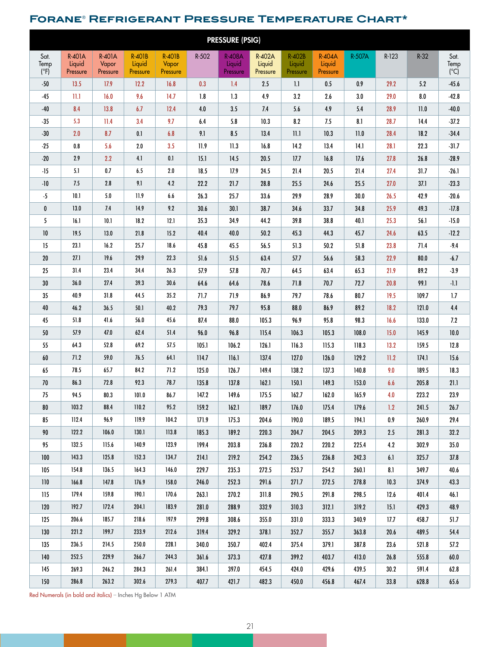### **Forane**® **Refrigerant Pressure Temperature Chart\***

| <b>PRESSURE (PSIG)</b>        |                              |                                    |                                     |                                    |            |                                     |                              |                                     |                                     |         |         |        |                     |
|-------------------------------|------------------------------|------------------------------------|-------------------------------------|------------------------------------|------------|-------------------------------------|------------------------------|-------------------------------------|-------------------------------------|---------|---------|--------|---------------------|
| Sat.<br>Temp<br>$(^{\circ}F)$ | R-401A<br>Liquid<br>Pressure | <b>R-401A</b><br>Vapor<br>Pressure | <b>R-401B</b><br>Liquid<br>Pressure | <b>R-401B</b><br>Vapor<br>Pressure | R-502      | <b>R-408A</b><br>Liquid<br>Pressure | R-402A<br>Liquid<br>Pressure | <b>R-402B</b><br>Liquid<br>Pressure | <b>R-404A</b><br>Liquid<br>Pressure | R-507A  | $R-123$ | $R-32$ | Sat.<br>Temp<br>(C) |
| $-50$                         | 13.5                         | 17.9                               | 12.2                                | 16.8                               | 0.3        | 1.4                                 | 2.5                          | $1.1\,$                             | $0.5\,$                             | 0.9     | 29.2    | 5.2    | $-45.6$             |
| $-45$                         | II.I                         | 16.0                               | 9.6                                 | 14.7                               | $1.8\,$    | 1.3                                 | 4.9                          | 3.2                                 | 2.6                                 | $3.0\,$ | 29.0    | 8.0    | $-42.8$             |
| $-40$                         | 8.4                          | 13.8                               | 6.7                                 | 12.4                               | 4.0        | 3.5                                 | 7.4                          | $5.6\,$                             | 4.9                                 | 5.4     | 28.9    | 11.0   | $-40.0$             |
| $-35$                         | 5.3                          | 11.4                               | 3.4                                 | 9.7                                | 6.4        | 5.8                                 | 10.3                         | 8.2                                 | 7.5                                 | 8.1     | 28.7    | 14.4   | $-37.2$             |
| $-30$                         | 2.0                          | 8.7                                | 0.1                                 | 6.8                                | 9.1        | 8.5                                 | 13.4                         | $11.1\,$                            | 10.3                                | $11.0$  | 28.4    | 18.2   | $-34.4$             |
| $-25$                         | 0.8                          | 5.6                                | 2.0                                 | 3.5                                | 11.9       | 11.3                                | 16.8                         | $14.2$                              | 13.4                                | 14.1    | 28.1    | 22.3   | $-31.7$             |
| $-20$                         | 2.9                          | 2.2                                | 4.1                                 | $0.1\,$                            | 15.1       | 14.5                                | 20.5                         | 17.7                                | 16.8                                | 17.6    | 27.8    | 26.8   | $-28.9$             |
| $-15$                         | 5.1                          | $0.7\,$                            | 6.5                                 | $2.0\,$                            | 18.5       | 17.9                                | 24.5                         | 21.4                                | 20.5                                | 21.4    | 27.4    | 31.7   | $-26.1$             |
| $-10$                         | 7.5                          | 2.8                                | 9.1                                 | 4.2                                | 22.2       | 21.7                                | 28.8                         | 25.5                                | 24.6                                | 25.5    | 27.0    | 37.1   | $-23.3$             |
| $-5$                          | 10.1                         | $5.0$                              | 11.9                                | 6.6                                | 26.3       | 25.7                                | 33.6                         | 29.9                                | 28.9                                | 30.0    | 26.5    | 42.9   | $-20.6$             |
| 0                             | 13.0                         | 7.4                                | 14.9                                | 9.2                                | 30.6       | 30.1                                | 38.7                         | 34.6                                | 33.7                                | 34.8    | 25.9    | 49.3   | $-17.8$             |
| 5                             | 16.1                         | 10.1                               | 18.2                                | 12.1                               | 35.3       | 34.9                                | 44.2                         | 39.8                                | 38.8                                | 40.1    | 25.3    | 56.1   | $-15.0$             |
| $10$                          | 19.5                         | 13.0                               | 21.8                                | 15.2                               | 40.4       | 40.0                                | $50.2$                       | 45.3                                | 44.3                                | 45.7    | 24.6    | 63.5   | $-12.2$             |
| 15                            | 23.1                         | 16.2                               | 25.7                                | 18.6                               | 45.8       | 45.5                                | 56.5                         | 51.3                                | 50.2                                | 51.8    | 23.8    | 71.4   | $-9.4$              |
| 20                            | 27.1                         | 19.6                               | 29.9                                | 22.3                               | 51.6       | 51.5                                | 63.4                         | 57.7                                | 56.6                                | 58.3    | 22.9    | 80.0   | $-6.7$              |
| 25                            | 31.4                         | 23.4                               | 34.4                                | 26.3                               | 57.9       | 57.8                                | 70.7                         | 64.5                                | 63.4                                | 65.3    | 21.9    | 89.2   | $-3.9$              |
| 30                            | 36.0                         | 27.4                               | 39.3                                | 30.6                               | $\bf 64.6$ | 64.6                                | 78.6                         | 71.8                                | 70.7                                | 72.7    | 20.8    | 99.1   | $-1.1$              |
| 35                            | 40.9                         | 31.8                               | 44.5                                | 35.2                               | 71.7       | 71.9                                | 86.9                         | 79.7                                | 78.6                                | 80.7    | 19.5    | 109.7  | 1.7                 |
| 40                            | 46.2                         | 36.5                               | 50.1                                | 40.2                               | 79.3       | 79.7                                | 95.8                         | 88.0                                | 86.9                                | 89.2    | 18.2    | 121.0  | 4.4                 |
| 45                            | 51.8                         | 41.6                               | 56.0                                | 45.6                               | 87.4       | 88.0                                | 105.3                        | 96.9                                | 95.8                                | 98.3    | 16.6    | 133.0  | 7.2                 |
| 50                            | 57.9                         | 47.0                               | 62.4                                | 51.4                               | 96.0       | 96.8                                | 115.4                        | 106.3                               | 105.3                               | 108.0   | 15.0    | 145.9  | $10.0$              |
| 55                            | 64.3                         | 52.8                               | 69.2                                | 57.5                               | 105.1      | 106.2                               | 126.1                        | 116.3                               | 115.3                               | 118.3   | $13.2$  | 159.5  | 12.8                |
| 60                            | 71.2                         | 59.0                               | 76.5                                | 64.1                               | 114.7      | 116.1                               | 137.4                        | 127.0                               | 126.0                               | 129.2   | 11.2    | 174.1  | 15.6                |
| 65                            | 78.5                         | 65.7                               | 84.2                                | 71.2                               | 125.0      | 126.7                               | 149.4                        | 138.2                               | 137.3                               | 140.8   | 9.0     | 189.5  | 18.3                |
| 70                            | 86.3                         | 72.8                               | 92.3                                | 78.7                               | 135.8      | 137.8                               | 162.1                        | 150.1                               | 149.3                               | 153.0   | 6.6     | 205.8  | 21.1                |
| 75                            | 94.5                         | 80.3                               | 101.0                               | 86.7                               | 147.2      | 149.6                               | 175.5                        | 162.7                               | 162.0                               | 165.9   | 4.0     | 223.2  | 23.9                |
| 80                            | 103.2                        | 88.4                               | 110.2                               | 95.2                               | 159.2      | 162.1                               | 189.7                        | 176.0                               | 175.4                               | 179.6   | 1.2     | 241.5  | 26.7                |
| 85                            | 112.4                        | 96.9                               | 119.9                               | 104.2                              | 171.9      | 175.3                               | 204.6                        | 190.0                               | 189.5                               | 194.1   | 0.9     | 260.9  | 29.4                |
| 90                            | 122.2                        | 106.0                              | 130.1                               | 113.8                              | 185.3      | 189.2                               | 220.3                        | 204.7                               | 204.5                               | 209.3   | 2.5     | 281.3  | 32.2                |
| 95                            | 132.5                        | 115.6                              | 140.9                               | 123.9                              | 199.4      | 203.8                               | 236.8                        | 220.2                               | 220.2                               | 225.4   | 4.2     | 302.9  | 35.0                |
| 100                           | 143.3                        | 125.8                              | 152.3                               | 134.7                              | 214.1      | 219.2                               | 254.2                        | 236.5                               | 236.8                               | 242.3   | 6.1     | 325.7  | 37.8                |
| 105                           | 154.8                        | 136.5                              | 164.3                               | 146.0                              | 229.7      | 235.3                               | 272.5                        | 253.7                               | 254.2                               | 260.1   | 8.1     | 349.7  | 40.6                |
| 110                           | 166.8                        | 147.8                              | 176.9                               | 158.0                              | 246.0      | 252.3                               | 291.6                        | 271.7                               | 272.5                               | 278.8   | 10.3    | 374.9  | 43.3                |
| 115                           | 179.4                        | 159.8                              | 190.1                               | 170.6                              | 263.1      | 270.2                               | 311.8                        | 290.5                               | 291.8                               | 298.5   | 12.6    | 401.4  | 46.1                |
| 120                           | 192.7                        | 172.4                              | 204.1                               | 183.9                              | 281.0      | 288.9                               | 332.9                        | 310.3                               | 312.1                               | 319.2   | 15.1    | 429.3  | 48.9                |
| 125                           | 206.6                        | 185.7                              | 218.6                               | 197.9                              | 299.8      | 308.6                               | 355.0                        | 331.0                               | 333.3                               | 340.9   | 17.7    | 458.7  | 51.7                |
| 130                           | 221.2                        | 199.7                              | 233.9                               | 212.6                              | 319.4      | 329.2                               | 378.1                        | 352.7                               | 355.7                               | 363.8   | 20.6    | 489.5  | 54.4                |
| 135                           | 236.5                        | 214.5                              | 250.0                               | 228.1                              | 340.0      | 350.7                               | 402.4                        | 375.4                               | 379.1                               | 387.8   | 23.6    | 521.8  | 57.2                |
| 140                           | 252.5                        | 229.9                              | 266.7                               | 244.3                              | 361.6      | 373.3                               | 427.8                        | 399.2                               | 403.7                               | 413.0   | 26.8    | 555.8  | 60.0                |
| 145                           | 269.3                        | 246.2                              | 284.3                               | 261.4                              | 384.1      | 397.0                               | 454.5                        | 424.0                               | 429.6                               | 439.5   | 30.2    | 591.4  | 62.8                |
| 150                           | 286.8                        | 263.2                              | 302.6                               | 279.3                              | 407.7      | 421.7                               | 482.3                        | 450.0                               | 456.8                               | 467.4   | 33.8    | 628.8  | 65.6                |

Red Numerals (in bold and italics) – Inches Hg Below 1 ATM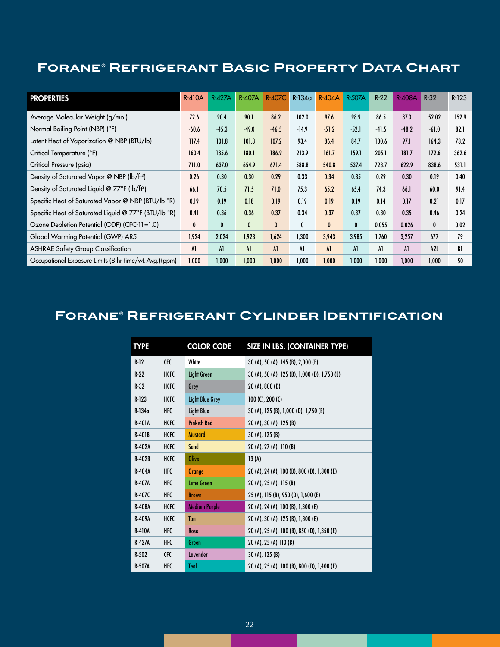### **Forane® Refrigerant Basic Property Data Chart**

| <b>PROPERTIES</b>                                        | <b>R-410A</b> | <b>R-427A</b> | <b>R-407A</b>  | <b>R-407C</b> | $R-134a$ | <b>R-404A</b> | R-507A       | $R-22$  | <b>R-408A</b> | $R-32$  | $R-123$ |
|----------------------------------------------------------|---------------|---------------|----------------|---------------|----------|---------------|--------------|---------|---------------|---------|---------|
| Average Molecular Weight (g/mol)                         | 72.6          | 90.4          | 90.1           | 86.2          | 102.0    | 97.6          | 98.9         | 86.5    | 87.0          | 52.02   | 152.9   |
| Normal Boiling Point (NBP) (°F)                          | $-60.6$       | $-45.3$       | $-49.0$        | $-46.5$       | $-14.9$  | $-51.2$       | $-52.1$      | $-41.5$ | $-48.2$       | $-61.0$ | 82.1    |
| Latent Heat of Vaporization @ NBP (BTU/lb)               | 117.4         | 101.8         | 101.3          | 107.2         | 93.4     | 86.4          | 84.7         | 100.6   | 97.1          | 164.3   | 73.2    |
| Critical Temperature (°F)                                | 160.4         | 185.6         | 180.1          | 186.9         | 213.9    | 161.7         | 159.1        | 205.1   | 181.7         | 172.6   | 362.6   |
| Critical Pressure (psia)                                 | 711.0         | 637.0         | 654.9          | 671.4         | 588.8    | 540.8         | 537.4        | 723.7   | 622.9         | 838.6   | 531.1   |
| Density of Saturated Vapor @ NBP (lb/ft <sup>3</sup> )   | 0.26          | 0.30          | 0.30           | 0.29          | 0.33     | 0.34          | 0.35         | 0.29    | 0.30          | 0.19    | 0.40    |
| Density of Saturated Liquid @ 77°F (lb/ft <sup>3</sup> ) | 66.1          | 70.5          | 71.5           | 71.0          | 75.3     | 65.2          | 65.4         | 74.3    | 66.1          | 60.0    | 91.4    |
| Specific Heat of Saturated Vapor @ NBP (BTU/lb °R)       | 0.19          | 0.19          | 0.18           | 0.19          | 0.19     | 0.19          | 0.19         | 0.14    | 0.17          | 0.21    | 0.17    |
| Specific Heat of Saturated Liquid @ 77°F (BTU/lb °R)     | 0.41          | 0.36          | 0.36           | 0.37          | 0.34     | 0.37          | 0.37         | 0.30    | 0.35          | 0.46    | 0.24    |
| Ozone Depletion Potential (ODP) (CFC-11=1.0)             | 0             | $\mathbf{0}$  | $\bf{0}$       | $\mathbf{0}$  | 0        | $\mathbf{0}$  | $\mathbf{0}$ | 0.055   | 0.026         | 0       | 0.02    |
| Global Warming Potential (GWP) AR5                       | 1,924         | 2,024         | 1,923          | 1,624         | 1,300    | 3,943         | 3,985        | 1,760   | 3,257         | 677     | 79      |
| <b>ASHRAE Safety Group Classification</b>                | Al            | A1            | A <sub>1</sub> | A1            | Al       | A1            | A1           | Al      | A1            | A2L     | BI      |
| Occupational Exposure Limits (8 hr time/wt. Avg.) (ppm)  | 1.000         | 1,000         | 1,000          | 1,000         | 1,000    | 1,000         | 1,000        | 1,000   | 1.000         | 1,000   | 50      |

### **Forane® Refrigerant Cylinder Identification**

| <b>TYPE</b>   |             | <b>COLOR CODE</b>      | SIZE IN LBS. (CONTAINER TYPE)                 |
|---------------|-------------|------------------------|-----------------------------------------------|
| $R-12$        | <b>CFC</b>  | White                  | 30 (A), 50 (A), 145 (B), 2,000 (E)            |
| $R-22$        | <b>HCFC</b> | <b>Light Green</b>     | 30 (A), 50 (A), 125 (B), 1,000 (D), 1,750 (E) |
| $R-32$        | <b>HCFC</b> | Grey                   | 20 (A), 800 (D)                               |
| $R-123$       | <b>HCFC</b> | <b>Light Blue Grey</b> | 100 $(C)$ , 200 $(C)$                         |
| $R-134a$      | <b>HFC</b>  | <b>Light Blue</b>      | 30 (A), 125 (B), 1,000 (D), 1,750 (E)         |
| <b>R-401A</b> | <b>HCFC</b> | <b>Pinkish Red</b>     | 20 (A), 30 (A), 125 (B)                       |
| $R-401B$      | <b>HCFC</b> | <b>Mustard</b>         | 30 (A), 125 (B)                               |
| R-402A        | <b>HCFC</b> | Sand                   | 20 (A), 27 (A), 110 (B)                       |
| $R-402B$      | <b>HCFC</b> | <b>Olive</b>           | 13(A)                                         |
| R-404A        | <b>HFC</b>  | <b>Orange</b>          | 20 (A), 24 (A), 100 (B), 800 (D), 1,300 (E)   |
| <b>R-407A</b> | HFC         | Lime Green             | 20 (A), 25 (A), 115 (B)                       |
| $R-407C$      | <b>HFC</b>  | <b>Brown</b>           | 25 (A), 115 (B), 950 (D), 1,600 (E)           |
| <b>R-408A</b> | <b>HCFC</b> | <b>Medium Purple</b>   | 20 (A), 24 (A), 100 (B), 1,300 (E)            |
| R-409A        | <b>HCFC</b> | Tan                    | 20 (A), 30 (A), 125 (B), 1,800 (E)            |
| <b>R-410A</b> | <b>HFC</b>  | Rose                   | 20 (A), 25 (A), 100 (B), 850 (D), 1,350 (E)   |
| <b>R-427A</b> | HFC         | Green                  | 20 (A), 25 (A) 110 (B)                        |
| $R-502$       | CFC         | Lavender               | 30 (A), 125 (B)                               |
| <b>R-507A</b> | <b>HFC</b>  | Teal                   | 20 (A), 25 (A), 100 (B), 800 (D), 1,400 (E)   |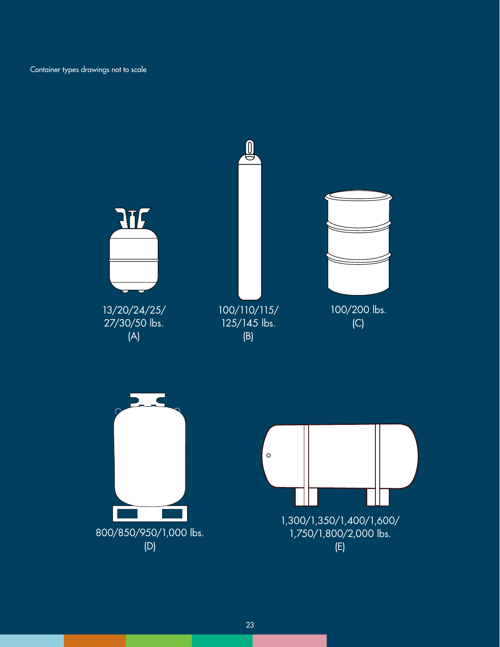Container types drawings not to scale